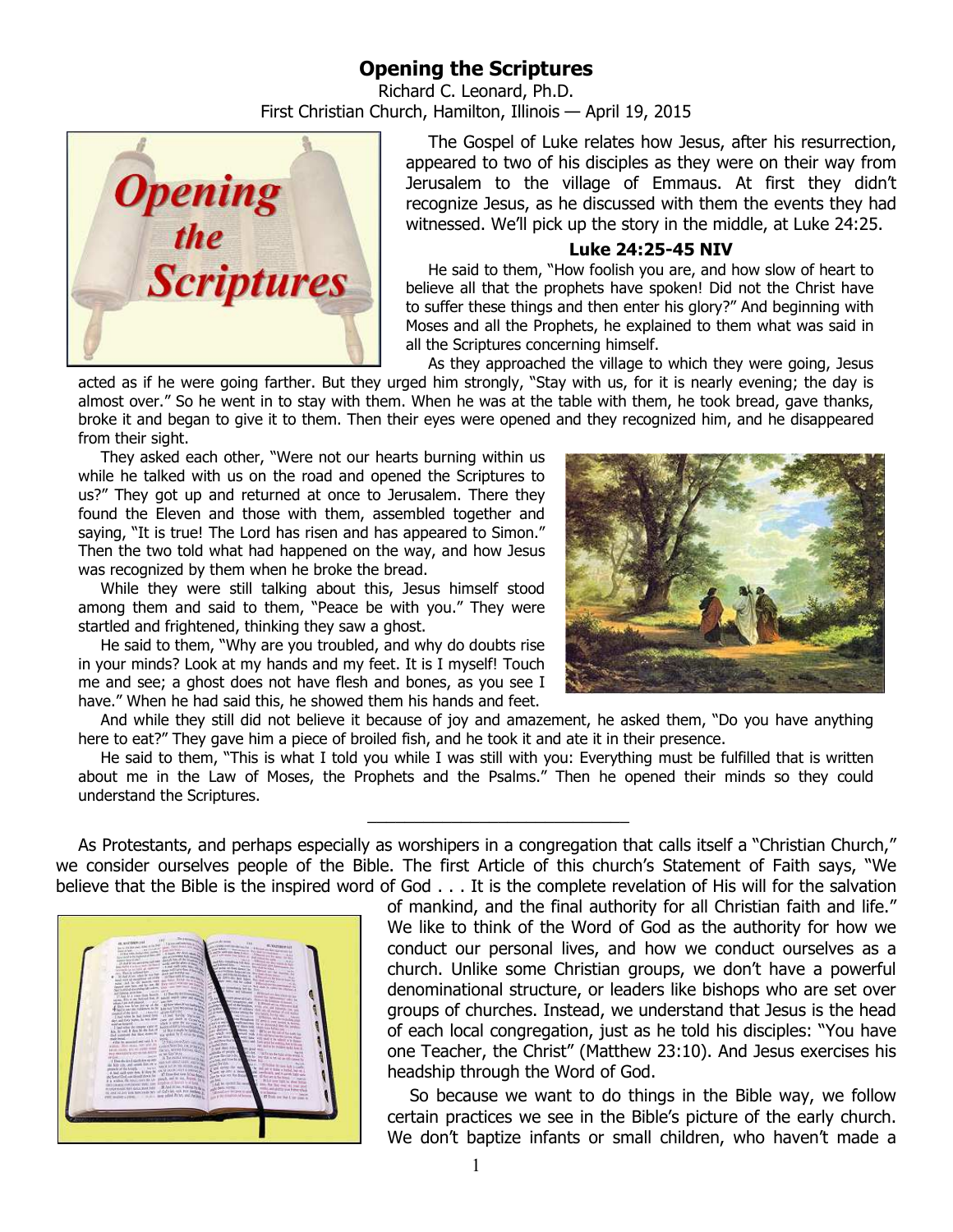# **Opening the Scriptures**

Richard C. Leonard, Ph.D. First Christian Church, Hamilton, Illinois — April 19, 2015



The Gospel of Luke relates how Jesus, after his resurrection, appeared to two of his disciples as they were on their way from Jerusalem to the village of Emmaus. At first they didn't recognize Jesus, as he discussed with them the events they had witnessed. We'll pick up the story in the middle, at Luke 24:25.

### **Luke 24:25-45 NIV**

He said to them, "How foolish you are, and how slow of heart to believe all that the prophets have spoken! Did not the Christ have to suffer these things and then enter his glory?" And beginning with Moses and all the Prophets, he explained to them what was said in all the Scriptures concerning himself.

As they approached the village to which they were going, Jesus

acted as if he were going farther. But they urged him strongly, "Stay with us, for it is nearly evening; the day is almost over." So he went in to stay with them. When he was at the table with them, he took bread, gave thanks, broke it and began to give it to them. Then their eyes were opened and they recognized him, and he disappeared from their sight.

They asked each other, "Were not our hearts burning within us while he talked with us on the road and opened the Scriptures to us?" They got up and returned at once to Jerusalem. There they found the Eleven and those with them, assembled together and saying, "It is true! The Lord has risen and has appeared to Simon." Then the two told what had happened on the way, and how Jesus was recognized by them when he broke the bread.

While they were still talking about this, Jesus himself stood among them and said to them, "Peace be with you." They were startled and frightened, thinking they saw a ghost.

He said to them, "Why are you troubled, and why do doubts rise in your minds? Look at my hands and my feet. It is I myself! Touch me and see; a ghost does not have flesh and bones, as you see I have." When he had said this, he showed them his hands and feet.

And while they still did not believe it because of joy and amazement, he asked them, "Do you have anything here to eat?" They gave him a piece of broiled fish, and he took it and ate it in their presence.

He said to them, "This is what I told you while I was still with you: Everything must be fulfilled that is written about me in the Law of Moses, the Prophets and the Psalms." Then he opened their minds so they could understand the Scriptures.

 $\frac{1}{2}$  ,  $\frac{1}{2}$  ,  $\frac{1}{2}$  ,  $\frac{1}{2}$  ,  $\frac{1}{2}$  ,  $\frac{1}{2}$  ,  $\frac{1}{2}$  ,  $\frac{1}{2}$  ,  $\frac{1}{2}$  ,  $\frac{1}{2}$  ,  $\frac{1}{2}$  ,  $\frac{1}{2}$  ,  $\frac{1}{2}$  ,  $\frac{1}{2}$  ,  $\frac{1}{2}$  ,  $\frac{1}{2}$  ,  $\frac{1}{2}$  ,  $\frac{1}{2}$  ,  $\frac{1$ 

As Protestants, and perhaps especially as worshipers in a congregation that calls itself a "Christian Church," we consider ourselves people of the Bible. The first Article of this church's Statement of Faith says, "We believe that the Bible is the inspired word of God . . . It is the complete revelation of His will for the salvation



of mankind, and the final authority for all Christian faith and life." We like to think of the Word of God as the authority for how we conduct our personal lives, and how we conduct ourselves as a church. Unlike some Christian groups, we don't have a powerful denominational structure, or leaders like bishops who are set over groups of churches. Instead, we understand that Jesus is the head of each local congregation, just as he told his disciples: "You have one Teacher, the Christ" (Matthew 23:10). And Jesus exercises his headship through the Word of God.

So because we want to do things in the Bible way, we follow certain practices we see in the Bible's picture of the early church. We don't baptize infants or small children, who haven't made a

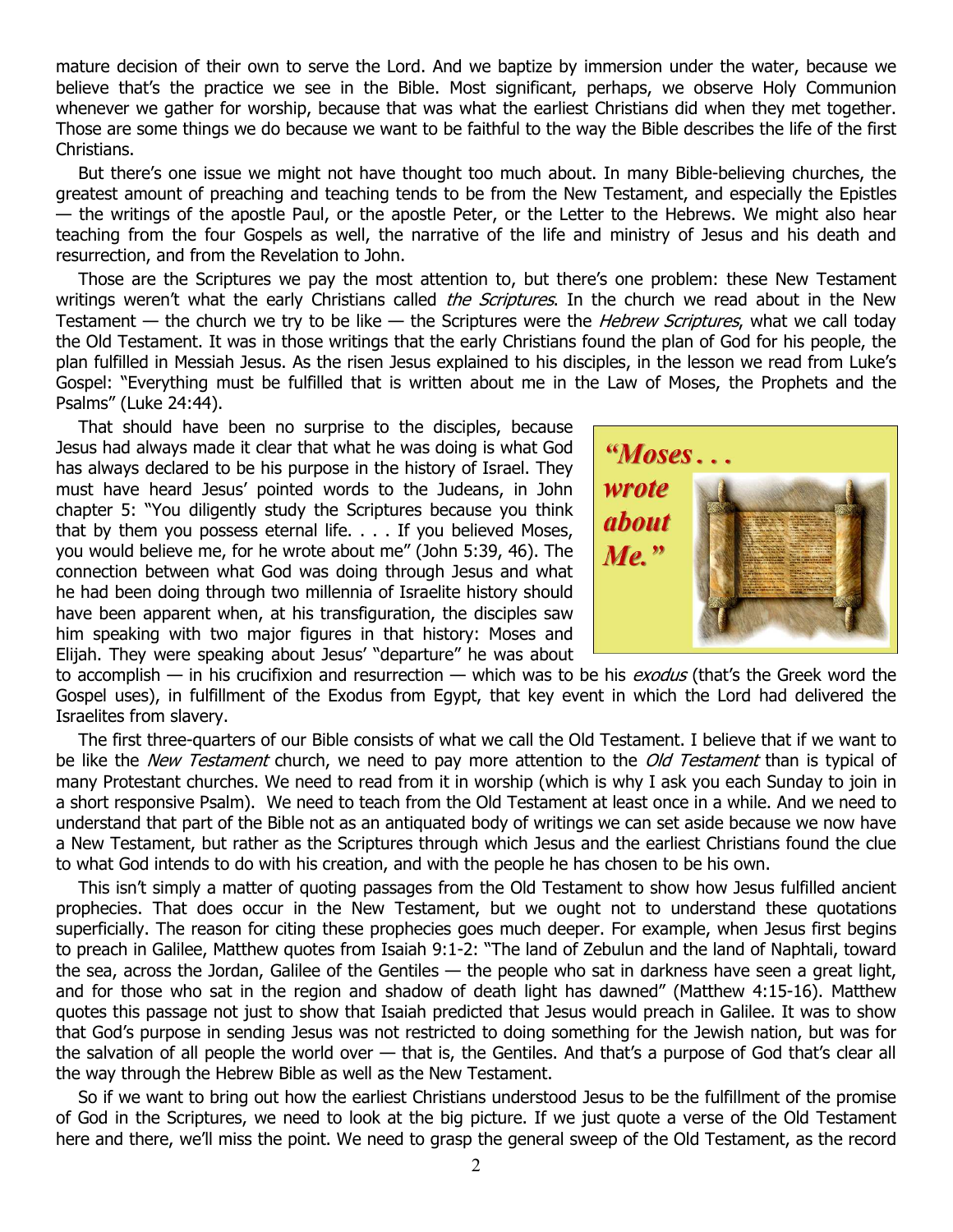mature decision of their own to serve the Lord. And we baptize by immersion under the water, because we believe that's the practice we see in the Bible. Most significant, perhaps, we observe Holy Communion whenever we gather for worship, because that was what the earliest Christians did when they met together. Those are some things we do because we want to be faithful to the way the Bible describes the life of the first Christians.

But there's one issue we might not have thought too much about. In many Bible-believing churches, the greatest amount of preaching and teaching tends to be from the New Testament, and especially the Epistles — the writings of the apostle Paul, or the apostle Peter, or the Letter to the Hebrews. We might also hear teaching from the four Gospels as well, the narrative of the life and ministry of Jesus and his death and resurrection, and from the Revelation to John.

Those are the Scriptures we pay the most attention to, but there's one problem: these New Testament writings weren't what the early Christians called the Scriptures. In the church we read about in the New Testament — the church we try to be like — the Scriptures were the *Hebrew Scriptures*, what we call today the Old Testament. It was in those writings that the early Christians found the plan of God for his people, the plan fulfilled in Messiah Jesus. As the risen Jesus explained to his disciples, in the lesson we read from Luke's Gospel: "Everything must be fulfilled that is written about me in the Law of Moses, the Prophets and the Psalms" (Luke 24:44).

That should have been no surprise to the disciples, because Jesus had always made it clear that what he was doing is what God has always declared to be his purpose in the history of Israel. They must have heard Jesus' pointed words to the Judeans, in John chapter 5: "You diligently study the Scriptures because you think that by them you possess eternal life. . . . If you believed Moses, you would believe me, for he wrote about me" (John 5:39, 46). The connection between what God was doing through Jesus and what he had been doing through two millennia of Israelite history should have been apparent when, at his transfiguration, the disciples saw him speaking with two major figures in that history: Moses and Elijah. They were speaking about Jesus' "departure" he was about



to accomplish — in his crucifixion and resurrection — which was to be his *exodus* (that's the Greek word the Gospel uses), in fulfillment of the Exodus from Egypt, that key event in which the Lord had delivered the Israelites from slavery.

The first three-quarters of our Bible consists of what we call the Old Testament. I believe that if we want to be like the New Testament church, we need to pay more attention to the Old Testament than is typical of many Protestant churches. We need to read from it in worship (which is why I ask you each Sunday to join in a short responsive Psalm). We need to teach from the Old Testament at least once in a while. And we need to understand that part of the Bible not as an antiquated body of writings we can set aside because we now have a New Testament, but rather as the Scriptures through which Jesus and the earliest Christians found the clue to what God intends to do with his creation, and with the people he has chosen to be his own.

This isn't simply a matter of quoting passages from the Old Testament to show how Jesus fulfilled ancient prophecies. That does occur in the New Testament, but we ought not to understand these quotations superficially. The reason for citing these prophecies goes much deeper. For example, when Jesus first begins to preach in Galilee, Matthew quotes from Isaiah 9:1-2: "The land of Zebulun and the land of Naphtali, toward the sea, across the Jordan, Galilee of the Gentiles — the people who sat in darkness have seen a great light, and for those who sat in the region and shadow of death light has dawned" (Matthew 4:15-16). Matthew quotes this passage not just to show that Isaiah predicted that Jesus would preach in Galilee. It was to show that God's purpose in sending Jesus was not restricted to doing something for the Jewish nation, but was for the salvation of all people the world over — that is, the Gentiles. And that's a purpose of God that's clear all the way through the Hebrew Bible as well as the New Testament.

So if we want to bring out how the earliest Christians understood Jesus to be the fulfillment of the promise of God in the Scriptures, we need to look at the big picture. If we just quote a verse of the Old Testament here and there, we'll miss the point. We need to grasp the general sweep of the Old Testament, as the record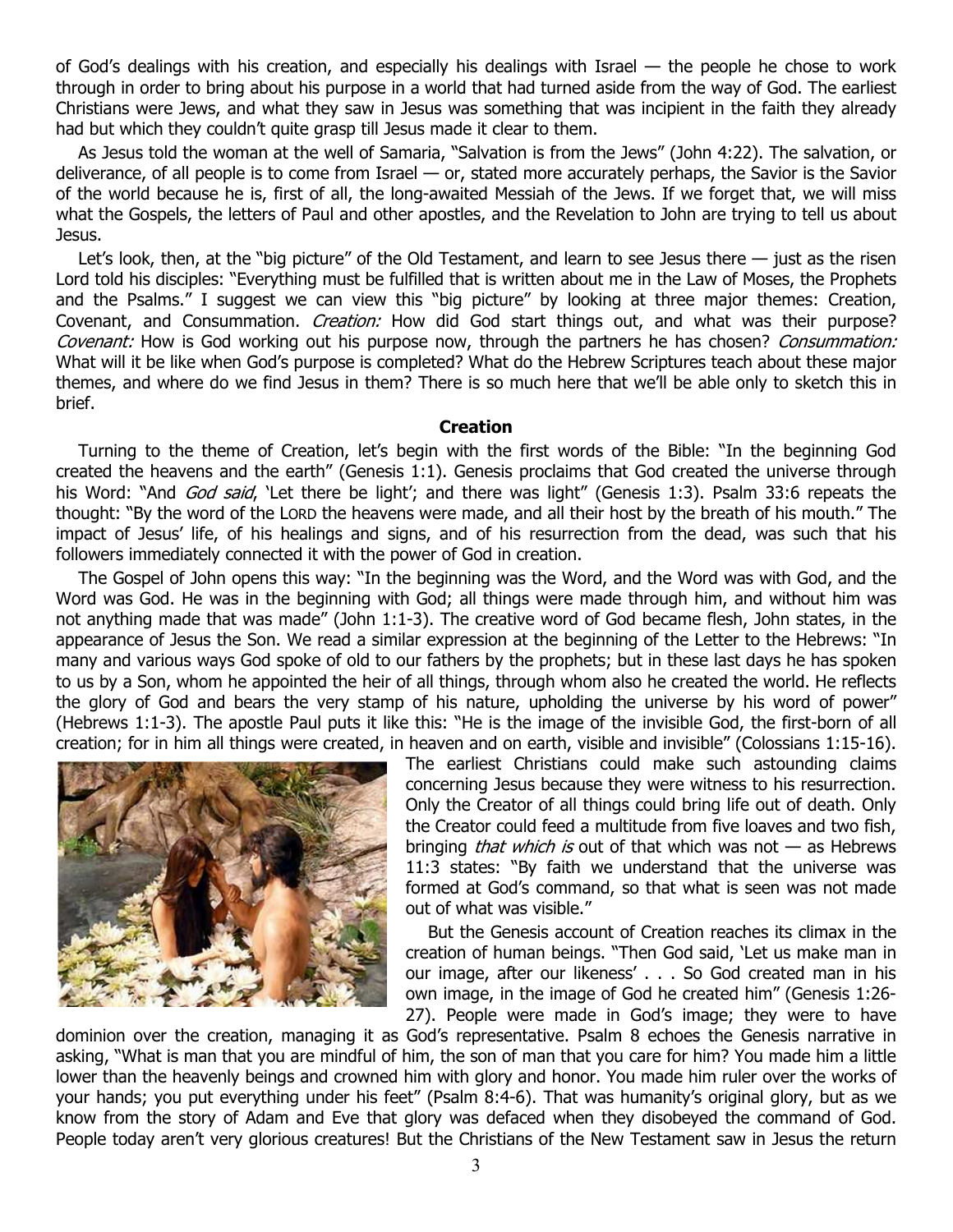of God's dealings with his creation, and especially his dealings with Israel — the people he chose to work through in order to bring about his purpose in a world that had turned aside from the way of God. The earliest Christians were Jews, and what they saw in Jesus was something that was incipient in the faith they already had but which they couldn't quite grasp till Jesus made it clear to them.

As Jesus told the woman at the well of Samaria, "Salvation is from the Jews" (John 4:22). The salvation, or deliverance, of all people is to come from Israel — or, stated more accurately perhaps, the Savior is the Savior of the world because he is, first of all, the long-awaited Messiah of the Jews. If we forget that, we will miss what the Gospels, the letters of Paul and other apostles, and the Revelation to John are trying to tell us about Jesus.

Let's look, then, at the "big picture" of the Old Testament, and learn to see Jesus there — just as the risen Lord told his disciples: "Everything must be fulfilled that is written about me in the Law of Moses, the Prophets and the Psalms." I suggest we can view this "big picture" by looking at three major themes: Creation, Covenant, and Consummation. *Creation:* How did God start things out, and what was their purpose? Covenant: How is God working out his purpose now, through the partners he has chosen? Consummation: What will it be like when God's purpose is completed? What do the Hebrew Scriptures teach about these major themes, and where do we find Jesus in them? There is so much here that we'll be able only to sketch this in brief.

### **Creation**

Turning to the theme of Creation, let's begin with the first words of the Bible: "In the beginning God created the heavens and the earth" (Genesis 1:1). Genesis proclaims that God created the universe through his Word: "And God said, 'Let there be light'; and there was light" (Genesis 1:3). Psalm 33:6 repeats the thought: "By the word of the LORD the heavens were made, and all their host by the breath of his mouth." The impact of Jesus' life, of his healings and signs, and of his resurrection from the dead, was such that his followers immediately connected it with the power of God in creation.

The Gospel of John opens this way: "In the beginning was the Word, and the Word was with God, and the Word was God. He was in the beginning with God; all things were made through him, and without him was not anything made that was made" (John 1:1-3). The creative word of God became flesh, John states, in the appearance of Jesus the Son. We read a similar expression at the beginning of the Letter to the Hebrews: "In many and various ways God spoke of old to our fathers by the prophets; but in these last days he has spoken to us by a Son, whom he appointed the heir of all things, through whom also he created the world. He reflects the glory of God and bears the very stamp of his nature, upholding the universe by his word of power" (Hebrews 1:1-3). The apostle Paul puts it like this: "He is the image of the invisible God, the first-born of all creation; for in him all things were created, in heaven and on earth, visible and invisible" (Colossians 1:15-16).



The earliest Christians could make such astounding claims concerning Jesus because they were witness to his resurrection. Only the Creator of all things could bring life out of death. Only the Creator could feed a multitude from five loaves and two fish, bringing *that which is* out of that which was not  $-$  as Hebrews 11:3 states: "By faith we understand that the universe was formed at God's command, so that what is seen was not made out of what was visible."

But the Genesis account of Creation reaches its climax in the creation of human beings. "Then God said, 'Let us make man in our image, after our likeness' . . . So God created man in his own image, in the image of God he created him" (Genesis 1:26- 27). People were made in God's image; they were to have

dominion over the creation, managing it as God's representative. Psalm 8 echoes the Genesis narrative in asking, "What is man that you are mindful of him, the son of man that you care for him? You made him a little lower than the heavenly beings and crowned him with glory and honor. You made him ruler over the works of your hands; you put everything under his feet" (Psalm 8:4-6). That was humanity's original glory, but as we know from the story of Adam and Eve that glory was defaced when they disobeyed the command of God. People today aren't very glorious creatures! But the Christians of the New Testament saw in Jesus the return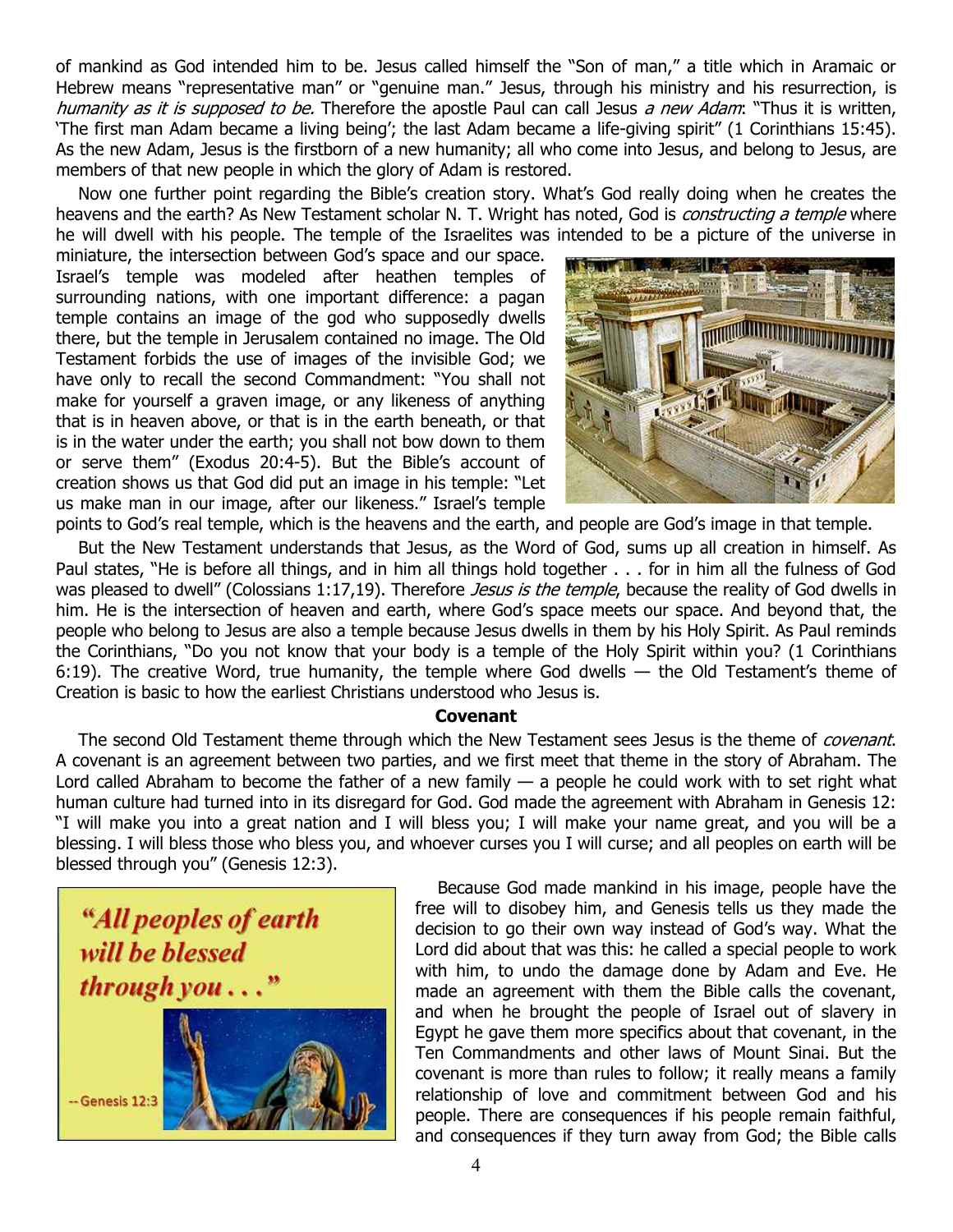of mankind as God intended him to be. Jesus called himself the "Son of man," a title which in Aramaic or Hebrew means "representative man" or "genuine man." Jesus, through his ministry and his resurrection, is humanity as it is supposed to be. Therefore the apostle Paul can call Jesus a new Adam: "Thus it is written, 'The first man Adam became a living being'; the last Adam became a life-giving spirit" (1 Corinthians 15:45). As the new Adam, Jesus is the firstborn of a new humanity; all who come into Jesus, and belong to Jesus, are members of that new people in which the glory of Adam is restored.

Now one further point regarding the Bible's creation story. What's God really doing when he creates the heavens and the earth? As New Testament scholar N. T. Wright has noted, God is *constructing a temple* where he will dwell with his people. The temple of the Israelites was intended to be a picture of the universe in

miniature, the intersection between God's space and our space. Israel's temple was modeled after heathen temples of surrounding nations, with one important difference: a pagan temple contains an image of the god who supposedly dwells there, but the temple in Jerusalem contained no image. The Old Testament forbids the use of images of the invisible God; we have only to recall the second Commandment: "You shall not make for yourself a graven image, or any likeness of anything that is in heaven above, or that is in the earth beneath, or that is in the water under the earth; you shall not bow down to them or serve them" (Exodus 20:4-5). But the Bible's account of creation shows us that God did put an image in his temple: "Let us make man in our image, after our likeness." Israel's temple



points to God's real temple, which is the heavens and the earth, and people are God's image in that temple.

But the New Testament understands that Jesus, as the Word of God, sums up all creation in himself. As Paul states, "He is before all things, and in him all things hold together . . . for in him all the fulness of God was pleased to dwell" (Colossians 1:17,19). Therefore *Jesus is the temple*, because the reality of God dwells in him. He is the intersection of heaven and earth, where God's space meets our space. And beyond that, the people who belong to Jesus are also a temple because Jesus dwells in them by his Holy Spirit. As Paul reminds the Corinthians, "Do you not know that your body is a temple of the Holy Spirit within you? (1 Corinthians 6:19). The creative Word, true humanity, the temple where God dwells — the Old Testament's theme of Creation is basic to how the earliest Christians understood who Jesus is.

## **Covenant**

The second Old Testament theme through which the New Testament sees Jesus is the theme of *covenant*. A covenant is an agreement between two parties, and we first meet that theme in the story of Abraham. The Lord called Abraham to become the father of a new family  $-$  a people he could work with to set right what human culture had turned into in its disregard for God. God made the agreement with Abraham in Genesis 12: "I will make you into a great nation and I will bless you; I will make your name great, and you will be a blessing. I will bless those who bless you, and whoever curses you I will curse; and all peoples on earth will be blessed through you" (Genesis 12:3).



Because God made mankind in his image, people have the free will to disobey him, and Genesis tells us they made the decision to go their own way instead of God's way. What the Lord did about that was this: he called a special people to work with him, to undo the damage done by Adam and Eve. He made an agreement with them the Bible calls the covenant, and when he brought the people of Israel out of slavery in Egypt he gave them more specifics about that covenant, in the Ten Commandments and other laws of Mount Sinai. But the covenant is more than rules to follow; it really means a family relationship of love and commitment between God and his people. There are consequences if his people remain faithful, and consequences if they turn away from God; the Bible calls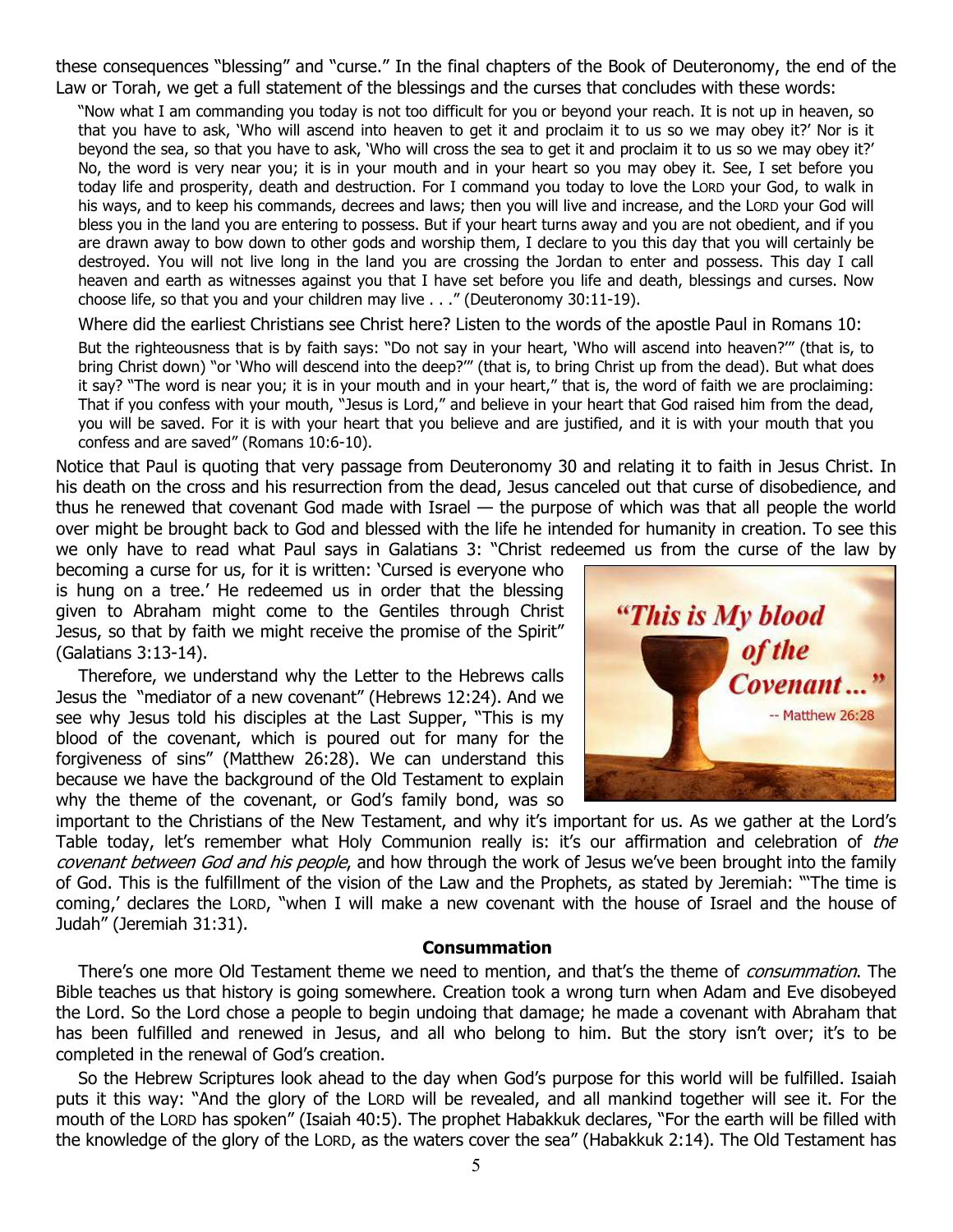these consequences "blessing" and "curse." In the final chapters of the Book of Deuteronomy, the end of the Law or Torah, we get a full statement of the blessings and the curses that concludes with these words:

"Now what I am commanding you today is not too difficult for you or beyond your reach. It is not up in heaven, so that you have to ask, 'Who will ascend into heaven to get it and proclaim it to us so we may obey it?' Nor is it beyond the sea, so that you have to ask, 'Who will cross the sea to get it and proclaim it to us so we may obey it?' No, the word is very near you; it is in your mouth and in your heart so you may obey it. See, I set before you today life and prosperity, death and destruction. For I command you today to love the LORD your God, to walk in his ways, and to keep his commands, decrees and laws; then you will live and increase, and the LORD your God will bless you in the land you are entering to possess. But if your heart turns away and you are not obedient, and if you are drawn away to bow down to other gods and worship them, I declare to you this day that you will certainly be destroyed. You will not live long in the land you are crossing the Jordan to enter and possess. This day I call heaven and earth as witnesses against you that I have set before you life and death, blessings and curses. Now choose life, so that you and your children may live . . ." (Deuteronomy 30:11-19).

Where did the earliest Christians see Christ here? Listen to the words of the apostle Paul in Romans 10:

But the righteousness that is by faith says: "Do not say in your heart, 'Who will ascend into heaven?'" (that is, to bring Christ down) "or 'Who will descend into the deep?'" (that is, to bring Christ up from the dead). But what does it say? "The word is near you; it is in your mouth and in your heart," that is, the word of faith we are proclaiming: That if you confess with your mouth, "Jesus is Lord," and believe in your heart that God raised him from the dead, you will be saved. For it is with your heart that you believe and are justified, and it is with your mouth that you confess and are saved" (Romans 10:6-10).

Notice that Paul is quoting that very passage from Deuteronomy 30 and relating it to faith in Jesus Christ. In his death on the cross and his resurrection from the dead, Jesus canceled out that curse of disobedience, and thus he renewed that covenant God made with Israel — the purpose of which was that all people the world over might be brought back to God and blessed with the life he intended for humanity in creation. To see this we only have to read what Paul says in Galatians 3: "Christ redeemed us from the curse of the law by

becoming a curse for us, for it is written: 'Cursed is everyone who is hung on a tree.' He redeemed us in order that the blessing given to Abraham might come to the Gentiles through Christ Jesus, so that by faith we might receive the promise of the Spirit" (Galatians 3:13-14).

Therefore, we understand why the Letter to the Hebrews calls Jesus the "mediator of a new covenant" (Hebrews 12:24). And we see why Jesus told his disciples at the Last Supper, "This is my blood of the covenant, which is poured out for many for the forgiveness of sins" (Matthew 26:28). We can understand this because we have the background of the Old Testament to explain why the theme of the covenant, or God's family bond, was so



important to the Christians of the New Testament, and why it's important for us. As we gather at the Lord's Table today, let's remember what Holy Communion really is: it's our affirmation and celebration of the covenant between God and his people, and how through the work of Jesus we've been brought into the family of God. This is the fulfillment of the vision of the Law and the Prophets, as stated by Jeremiah: "'The time is coming,' declares the LORD, "when I will make a new covenant with the house of Israel and the house of Judah" (Jeremiah 31:31).

#### **Consummation**

There's one more Old Testament theme we need to mention, and that's the theme of *consummation*. The Bible teaches us that history is going somewhere. Creation took a wrong turn when Adam and Eve disobeyed the Lord. So the Lord chose a people to begin undoing that damage; he made a covenant with Abraham that has been fulfilled and renewed in Jesus, and all who belong to him. But the story isn't over; it's to be completed in the renewal of God's creation.

So the Hebrew Scriptures look ahead to the day when God's purpose for this world will be fulfilled. Isaiah puts it this way: "And the glory of the LORD will be revealed, and all mankind together will see it. For the mouth of the LORD has spoken" (Isaiah 40:5). The prophet Habakkuk declares, "For the earth will be filled with the knowledge of the glory of the LORD, as the waters cover the sea" (Habakkuk 2:14). The Old Testament has